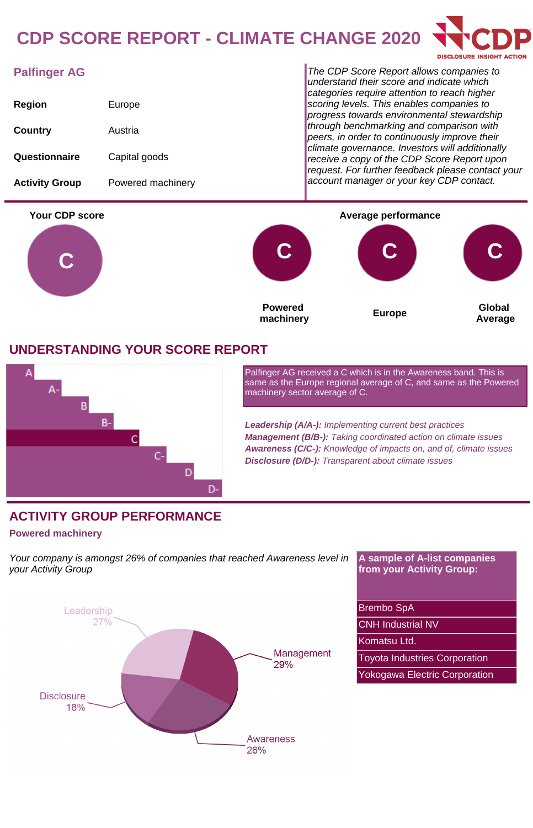# **CDP SCORE REPORT - CLIMATE CHANGE 2020**



## **Palfinger AG**

| Region                | Europe            |
|-----------------------|-------------------|
| Country               | Austria           |
| Questionnaire         | Capital goods     |
| <b>Activity Group</b> | Powered machinery |

The CDP Score Report allows companies to understand their score and indicate which categories require attention to reach higher scoring levels. This enables companies to progress towards environmental stewardship through benchmarking and comparison with peers, in order to continuously improve their climate governance. Investors will additionally receive a copy of the CDP Score Report upon request. For further feedback please contact your account manager or your key CDP contact.



### **UNDERSTANDING YOUR SCORE REPORT**



Palfinger AG received a C which is in the Awareness band. This is same as the Europe regional average of C, and same as the Powered machinery sector average of C.

**Leadership (A/A-):** Implementing current best practices **Management (B/B-):** Taking coordinated action on climate issues **Awareness (C/C-):** Knowledge of impacts on, and of, climate issues **Disclosure (D/D-):** Transparent about climate issues

## **ACTIVITY GROUP PERFORMANCE**

#### **Powered machinery**

Your company is amongst 26% of companies that reached Awareness level in your Activity Group

**A sample of A-list companies from your Activity Group:**

Brembo SpA

CNH Industrial NV

Komatsu Ltd.

Toyota Industries Corporation

Yokogawa Electric Corporation